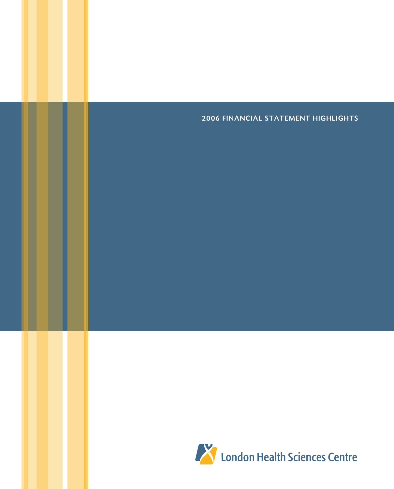## 2006 FINANCIAL STATEMENT HIGHLIGHTS

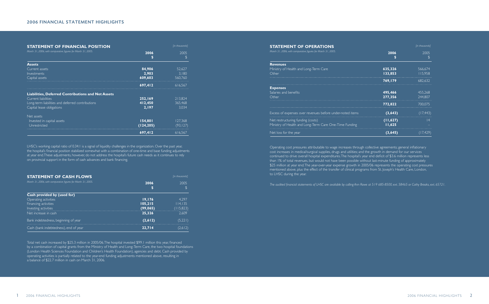## 2006 FINANCIAL STATEMENT HIGHLIGHTS

| <b>STATEMENT OF FINANCIAL POSITION</b>                       |           | [in thousands]<br>2005 |
|--------------------------------------------------------------|-----------|------------------------|
| March 31, 2006, with comparative figures for March 31, 2005. | 2006      |                        |
|                                                              | S         | \$                     |
| <b>Assets</b>                                                |           |                        |
| Current assets                                               | 84.906    | 52.627                 |
| Investments                                                  | 2,903     | 3.180                  |
| Capital assets                                               | 609,603   | 560.760                |
|                                                              | 697,412   | 616.567                |
| <b>Liabilities, Deferred Contributions and Net Assets</b>    |           |                        |
| Current liabilities                                          | 252,169   | 213.824                |
| Long-term liabilities and deferred contributions             | 412,450   | 365.468                |
| Capital lease obligations                                    | 2.197     | 3.034                  |
| Net assets                                                   |           |                        |
| Invested in capital assets                                   | 154,801   | 127.368                |
| Unrestricted                                                 | (124,205) | (93, 127)              |
|                                                              | 697,412   | 616.567                |

LHSC's working capital ratio of 0.34:1 is a signal of liquidity challenges in the organization. Over the past year, the hospital's financial position stabilized somewhat with a combination of one-time and base funding adjustments at year end. These adjustments, however, do not address the hospital's future cash needs as it continues to rely on provincial support in the form of cash advances and bank financing.

| <b>STATEMENT OF CASH FLOWS</b>                               | [in thousands] |            |
|--------------------------------------------------------------|----------------|------------|
| March 31, 2006, with comparative figures for March 31, 2005. | 2006           | 2005<br>\$ |
| Cash provided by (used for)                                  |                |            |
| Operating activities                                         | 19,176         | 4.297      |
| Financing activities                                         | 105,215        | 114.135    |
| Investing activities                                         | (99, 065)      | (115,823)  |
| Net increase in cash                                         | 25.326         | 2.609      |
| Bank indebtedness, beginning of year                         | (2,612)        | (5,221)    |
| Cash (bank indebtedness), end of year                        | 22,714         | 2,612      |

Total net cash increased by \$25.3 million in 2005/06. The hospital invested \$99.1 million this year, financed by a combination of capital grants from the Ministry of Health and Long-Term Care, the two hospital foundations (London Health Sciences Foundation and Children's Health Foundation), agencies and debt. Cash provided by operating activities is partially related to the year-end funding adjustments mentioned above, resulting in a balance of \$22.7 million in cash on March 31, 2006.

| <b>STATEMENT OF OPERATIONS</b>                               |           | [in thousands]<br>2005 |
|--------------------------------------------------------------|-----------|------------------------|
| March 31, 2006, with comparative figures for March 31, 2005. | 2006      |                        |
|                                                              |           |                        |
| <b>Revenues</b>                                              |           |                        |
| Ministry of Health and Long-Term Care                        | 635,326   | 566.674                |
| Other                                                        | 133,853   | 115.958                |
|                                                              | 769,179   | 682.632                |
| <b>Expenses</b>                                              |           |                        |
| Salaries and benefits                                        | 495,466   | 455.268                |
| Other                                                        | 277,356   | 244.807                |
|                                                              | 772,822   | 700.075                |
| Excess of expenses over revenues before under-noted items    | (3,643)   | (17.443)               |
| Net restructuring funding (costs)                            | (11, 627) | $\overline{14}$        |
| Ministry of Health and Long-Term Care One-Time Funding       | 11,625    |                        |
| Net loss for the year                                        | (3,645)   | 17.4291                |

Operating cost pressures attributable to wage increases through collective agreements; general inflationary cost increases in medical/surgical supplies, drugs and utilities; and the growth in demand for our services continued to drive overall hospital expenditures. The hospital's year end deficit of \$3.6 million represents less than 1% of total revenues, but would not have been possible without last-minute funding of approximately \$25 million at year end. The year-over-year expense growth in 2005/06 represents the operating cost pressures mentioned above, plus the effect of the transfer of clinical programs from St. Joseph's Health Care, London, to LHSC during the year.

*The audited financial statements of LHSC are available by calling Ann Rowe at 519 685-8500, ext. 58465 or Cathy Brooks, ext. 65721.*